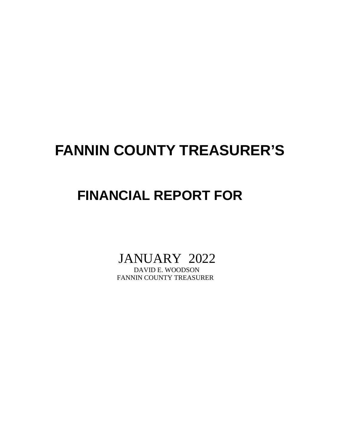## **FANNIN COUNTY TREASURER'S**

### **FINANCIAL REPORT FOR**

# JANUARY 2022

FANNIN COUNTY TREASURER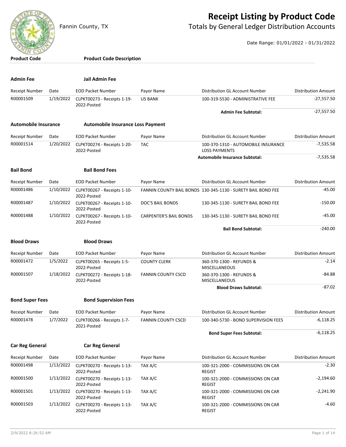

#### **Receipt Listing by Product Code**

Fannin County, TX **The County of Totals by General Ledger Distribution Accounts** 

Date Range: 01/01/2022 - 01/31/2022

| <b>Product Code</b>         |           | <b>Product Code Description</b>            |                               |                                                              |                            |
|-----------------------------|-----------|--------------------------------------------|-------------------------------|--------------------------------------------------------------|----------------------------|
|                             |           |                                            |                               |                                                              |                            |
| <b>Admin Fee</b>            |           | Jail Admin Fee                             |                               |                                                              |                            |
| <b>Receipt Number</b>       | Date      | <b>EOD Packet Number</b>                   | Payor Name                    | Distribution GL Account Number                               | <b>Distribution Amount</b> |
| R00001509                   | 1/19/2022 | CLPKT00273 - Receipts 1-19-<br>2022-Posted | <b>US BANK</b>                | 100-319-5530 - ADMINISTRATIVE FEE                            | $-27,557.50$               |
|                             |           |                                            |                               | <b>Admin Fee Subtotal:</b>                                   | $-27,557.50$               |
| <b>Automobile Insurance</b> |           | <b>Automobile Insurance Loss Payment</b>   |                               |                                                              |                            |
| <b>Receipt Number</b>       | Date      | <b>EOD Packet Number</b>                   | Payor Name                    | Distribution GL Account Number                               | <b>Distribution Amount</b> |
| R00001514                   | 1/20/2022 | CLPKT00274 - Receipts 1-20-<br>2022-Posted | <b>TAC</b>                    | 100-370-1310 - AUTOMOBILE INSURANCE<br><b>LOSS PAYMENTS</b>  | $-7,535.58$                |
|                             |           |                                            |                               | <b>Automobile Insurance Subtotal:</b>                        | $-7,535.58$                |
| <b>Bail Bond</b>            |           | <b>Bail Bond Fees</b>                      |                               |                                                              |                            |
| Receipt Number              | Date      | <b>EOD Packet Number</b>                   | Payor Name                    | Distribution GL Account Number                               | <b>Distribution Amount</b> |
| R00001486                   | 1/10/2022 | CLPKT00267 - Receipts 1-10-<br>2022-Posted |                               | FANNIN COUNTY BAIL BONDS 130-345-1130 - SURETY BAIL BOND FEE | $-45.00$                   |
| R00001487                   | 1/10/2022 | CLPKT00267 - Receipts 1-10-<br>2022-Posted | DOC'S BAIL BONDS              | 130-345-1130 - SURETY BAIL BOND FEE                          | $-150.00$                  |
| R00001488                   | 1/10/2022 | CLPKT00267 - Receipts 1-10-<br>2022-Posted | <b>CARPENTER'S BAIL BONDS</b> | 130-345-1130 - SURETY BAIL BOND FEE                          | -45.00                     |
|                             |           |                                            |                               | <b>Bail Bond Subtotal:</b>                                   | $-240.00$                  |
| <b>Blood Draws</b>          |           | <b>Blood Draws</b>                         |                               |                                                              |                            |
| <b>Receipt Number</b>       | Date      | <b>EOD Packet Number</b>                   | Payor Name                    | Distribution GL Account Number                               | <b>Distribution Amount</b> |
| R00001472                   | 1/5/2022  | CLPKT00265 - Receipts 1-5-<br>2022-Posted  | <b>COUNTY CLERK</b>           | 360-370-1300 - REFUNDS &<br><b>MISCELLANEOUS</b>             | $-2.14$                    |
| R00001507                   | 1/18/2022 | CLPKT00272 - Receipts 1-18-<br>2022-Posted | <b>FANNIN COUNTY CSCD</b>     | 360-370-1300 - REFUNDS &<br><b>MISCELLANEOUS</b>             | -84.88                     |
|                             |           |                                            |                               | <b>Blood Draws Subtotal:</b>                                 | $-87.02$                   |
| <b>Bond Super Fees</b>      |           | <b>Bond Supervision Fees</b>               |                               |                                                              |                            |
| Receipt Number              | Date      | <b>EOD Packet Number</b>                   | Payor Name                    | Distribution GL Account Number                               | <b>Distribution Amount</b> |
| R00001478                   | 1/7/2022  | CLPKT00266 - Receipts 1-7-<br>2021-Posted  | <b>FANNIN COUNTY CSCD</b>     | 100-340-5730 - BOND SUPERVISION FEES                         | $-6,118.25$                |
|                             |           |                                            |                               | <b>Bond Super Fees Subtotal:</b>                             | $-6,118.25$                |
| <b>Car Reg General</b>      |           | <b>Car Reg General</b>                     |                               |                                                              |                            |
| <b>Receipt Number</b>       | Date      | <b>EOD Packet Number</b>                   | Payor Name                    | Distribution GL Account Number                               | <b>Distribution Amount</b> |
| R00001498                   | 1/13/2022 | CLPKT00270 - Receipts 1-13-<br>2022-Posted | TAX A/C                       | 100-321-2000 - COMMISSIONS ON CAR<br><b>REGIST</b>           | $-2.30$                    |
| R00001500                   | 1/13/2022 | CLPKT00270 - Receipts 1-13-<br>2022-Posted | TAX A/C                       | 100-321-2000 - COMMISSIONS ON CAR<br><b>REGIST</b>           | $-2,194.60$                |
| R00001501                   | 1/13/2022 | CLPKT00270 - Receipts 1-13-<br>2022-Posted | TAX A/C                       | 100-321-2000 - COMMISSIONS ON CAR<br><b>REGIST</b>           | $-2,241.90$                |
| R00001503                   | 1/13/2022 | CLPKT00270 - Receipts 1-13-<br>2022-Posted | TAX A/C                       | 100-321-2000 - COMMISSIONS ON CAR<br><b>REGIST</b>           | $-4.60$                    |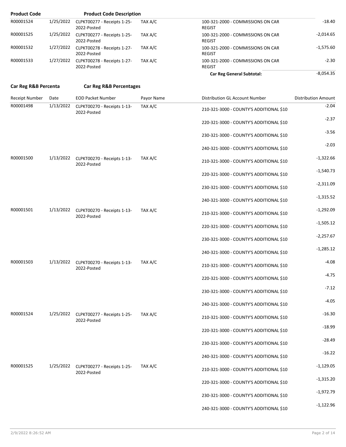| <b>Product Code</b>  |           | <b>Product Code Description</b>                              |            |                                                    |                            |
|----------------------|-----------|--------------------------------------------------------------|------------|----------------------------------------------------|----------------------------|
| R00001524            | 1/25/2022 | CLPKT00277 - Receipts 1-25-<br>2022-Posted                   | TAX A/C    | 100-321-2000 - COMMISSIONS ON CAR<br><b>REGIST</b> | $-18.40$                   |
| R00001525            |           | 1/25/2022 CLPKT00277 - Receipts 1-25-<br>2022-Posted         | TAX A/C    | 100-321-2000 - COMMISSIONS ON CAR<br><b>REGIST</b> | $-2,014.65$                |
| R00001532            |           | 1/27/2022 CLPKT00278 - Receipts 1-27-<br>2022-Posted         | TAX A/C    | 100-321-2000 - COMMISSIONS ON CAR<br><b>REGIST</b> | $-1,575.60$                |
| R00001533            |           | 1/27/2022 CLPKT00278 - Receipts 1-27-<br>2022-Posted         | TAX A/C    | 100-321-2000 - COMMISSIONS ON CAR<br><b>REGIST</b> | $-2.30$                    |
|                      |           |                                                              |            | <b>Car Reg General Subtotal:</b>                   | $-8,054.35$                |
| Car Reg R&B Percenta |           | <b>Car Reg R&amp;B Percentages</b>                           |            |                                                    |                            |
| Receipt Number       | Date      | <b>EOD Packet Number</b>                                     | Payor Name | Distribution GL Account Number                     | <b>Distribution Amount</b> |
| R00001498            | 1/13/2022 | CLPKT00270 - Receipts 1-13-<br>2022-Posted                   | TAX A/C    | 210-321-3000 - COUNTY'S ADDITIONAL \$10            | $-2.04$                    |
|                      |           |                                                              |            | 220-321-3000 - COUNTY'S ADDITIONAL \$10            | $-2.37$                    |
|                      |           |                                                              |            | 230-321-3000 - COUNTY'S ADDITIONAL \$10            | $-3.56$                    |
|                      |           |                                                              |            | 240-321-3000 - COUNTY'S ADDITIONAL \$10            | $-2.03$                    |
| R00001500            |           | 1/13/2022 CLPKT00270 - Receipts 1-13-<br>2022-Posted         | TAX A/C    | 210-321-3000 - COUNTY'S ADDITIONAL \$10            | $-1,322.66$                |
|                      |           |                                                              |            | 220-321-3000 - COUNTY'S ADDITIONAL \$10            | $-1,540.73$                |
|                      |           |                                                              |            | 230-321-3000 - COUNTY'S ADDITIONAL \$10            | $-2,311.09$                |
|                      |           |                                                              |            | 240-321-3000 - COUNTY'S ADDITIONAL \$10            | $-1,315.52$                |
| R00001501            |           | 1/13/2022 CLPKT00270 - Receipts 1-13-<br>2022-Posted         | TAX A/C    | 210-321-3000 - COUNTY'S ADDITIONAL \$10            | $-1,292.09$                |
|                      |           |                                                              |            | 220-321-3000 - COUNTY'S ADDITIONAL \$10            | $-1,505.12$                |
|                      |           |                                                              |            | 230-321-3000 - COUNTY'S ADDITIONAL \$10            | $-2,257.67$                |
|                      |           |                                                              |            | 240-321-3000 - COUNTY'S ADDITIONAL \$10            | $-1,285.12$                |
| R00001503            |           | 1/13/2022 CLPKT00270 - Receipts 1-13- TAX A/C<br>2022-Posted |            | 210-321-3000 - COUNTY'S ADDITIONAL \$10            | $-4.08$                    |
|                      |           |                                                              |            | 220-321-3000 - COUNTY'S ADDITIONAL \$10            | $-4.75$                    |
|                      |           |                                                              |            | 230-321-3000 - COUNTY'S ADDITIONAL \$10            | $-7.12$                    |
|                      |           |                                                              |            | 240-321-3000 - COUNTY'S ADDITIONAL \$10            | $-4.05$                    |
| R00001524            |           | 1/25/2022 CLPKT00277 - Receipts 1-25-<br>2022-Posted         | TAX A/C    | 210-321-3000 - COUNTY'S ADDITIONAL \$10            | $-16.30$                   |
|                      |           |                                                              |            | 220-321-3000 - COUNTY'S ADDITIONAL \$10            | $-18.99$                   |
|                      |           |                                                              |            | 230-321-3000 - COUNTY'S ADDITIONAL \$10            | $-28.49$                   |
|                      |           |                                                              |            | 240-321-3000 - COUNTY'S ADDITIONAL \$10            | $-16.22$                   |
| R00001525            |           | 1/25/2022 CLPKT00277 - Receipts 1-25-<br>2022-Posted         | TAX A/C    | 210-321-3000 - COUNTY'S ADDITIONAL \$10            | $-1,129.05$                |
|                      |           |                                                              |            | 220-321-3000 - COUNTY'S ADDITIONAL \$10            | $-1,315.20$                |
|                      |           |                                                              |            | 230-321-3000 - COUNTY'S ADDITIONAL \$10            | $-1,972.79$                |
|                      |           |                                                              |            | 240-321-3000 - COUNTY'S ADDITIONAL \$10            | $-1,122.96$                |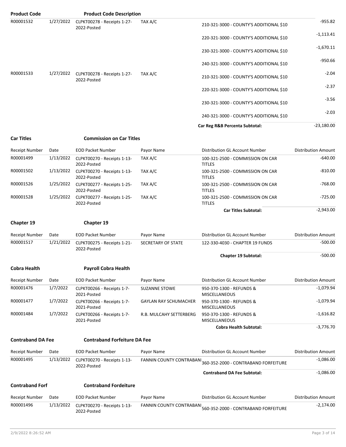| <b>Product Code</b>                |                   | <b>Product Code Description</b>                         |                                               |                                                                                                 |                                           |
|------------------------------------|-------------------|---------------------------------------------------------|-----------------------------------------------|-------------------------------------------------------------------------------------------------|-------------------------------------------|
| R00001532                          | 1/27/2022         | CLPKT00278 - Receipts 1-27-<br>2022-Posted              | TAX A/C                                       | 210-321-3000 - COUNTY'S ADDITIONAL \$10                                                         | $-955.82$                                 |
|                                    |                   |                                                         |                                               | 220-321-3000 - COUNTY'S ADDITIONAL \$10                                                         | $-1,113.41$                               |
|                                    |                   |                                                         |                                               | 230-321-3000 - COUNTY'S ADDITIONAL \$10                                                         | $-1,670.11$                               |
|                                    |                   |                                                         |                                               | 240-321-3000 - COUNTY'S ADDITIONAL \$10                                                         | $-950.66$                                 |
| R00001533                          | 1/27/2022         | CLPKT00278 - Receipts 1-27-<br>2022-Posted              | TAX A/C                                       | 210-321-3000 - COUNTY'S ADDITIONAL \$10                                                         | $-2.04$                                   |
|                                    |                   |                                                         |                                               | 220-321-3000 - COUNTY'S ADDITIONAL \$10                                                         | $-2.37$                                   |
|                                    |                   |                                                         |                                               | 230-321-3000 - COUNTY'S ADDITIONAL \$10                                                         | $-3.56$                                   |
|                                    |                   |                                                         |                                               | 240-321-3000 - COUNTY'S ADDITIONAL \$10                                                         | $-2.03$                                   |
|                                    |                   |                                                         |                                               | Car Reg R&B Percenta Subtotal:                                                                  | $-23,180.00$                              |
| <b>Car Titles</b>                  |                   | <b>Commission on Car Titles</b>                         |                                               |                                                                                                 |                                           |
| Receipt Number                     | Date              | <b>EOD Packet Number</b>                                | Payor Name                                    | Distribution GL Account Number                                                                  | <b>Distribution Amount</b>                |
| R00001499                          | 1/13/2022         | CLPKT00270 - Receipts 1-13-                             | TAX A/C                                       | 100-321-2500 - COMMISSION ON CAR                                                                | $-640.00$                                 |
|                                    |                   | 2022-Posted                                             |                                               | <b>TITLES</b>                                                                                   |                                           |
| R00001502                          | 1/13/2022         | CLPKT00270 - Receipts 1-13-<br>2022-Posted              | TAX A/C                                       | 100-321-2500 - COMMISSION ON CAR<br><b>TITLES</b>                                               | $-810.00$                                 |
| R00001526                          | 1/25/2022         | CLPKT00277 - Receipts 1-25-<br>2022-Posted              | TAX A/C                                       | 100-321-2500 - COMMISSION ON CAR<br><b>TITLES</b>                                               | $-768.00$                                 |
| R00001528                          | 1/25/2022         | CLPKT00277 - Receipts 1-25-<br>2022-Posted              | TAX A/C                                       | 100-321-2500 - COMMISSION ON CAR<br><b>TITLES</b>                                               | $-725.00$                                 |
|                                    |                   |                                                         |                                               | <b>Car Titles Subtotal:</b>                                                                     | $-2,943.00$                               |
|                                    |                   |                                                         |                                               |                                                                                                 |                                           |
| Chapter 19                         |                   | Chapter 19                                              |                                               |                                                                                                 |                                           |
| Receipt Number                     | Date              | <b>EOD Packet Number</b>                                | Payor Name                                    | <b>Distribution GL Account Number</b>                                                           | <b>Distribution Amount</b>                |
| R00001517                          | 1/21/2022         | CLPKT00275 - Receipts 1-21-<br>2022-Posted              | SECRETARY OF STATE                            | 122-330-4030 - CHAPTER 19 FUNDS                                                                 | $-500.00$                                 |
|                                    |                   |                                                         |                                               | <b>Chapter 19 Subtotal:</b>                                                                     | $-500.00$                                 |
| <b>Cobra Health</b>                |                   | <b>Payroll Cobra Health</b>                             |                                               |                                                                                                 |                                           |
| Receipt Number                     | Date              | <b>EOD Packet Number</b>                                | Payor Name                                    | Distribution GL Account Number                                                                  | <b>Distribution Amount</b>                |
| R00001476                          | 1/7/2022          | CLPKT00266 - Receipts 1-7-<br>2021-Posted               | <b>SUZANNE STOWE</b>                          | 950-370-1300 - REFUNDS &<br><b>MISCELLANEOUS</b>                                                | $-1,079.94$                               |
| R00001477                          | 1/7/2022          | CLPKT00266 - Receipts 1-7-<br>2021-Posted               | <b>GAYLAN RAY SCHUMACHER</b>                  | 950-370-1300 - REFUNDS &<br><b>MISCELLANEOUS</b>                                                | $-1,079.94$                               |
| R00001484                          | 1/7/2022          | CLPKT00266 - Receipts 1-7-<br>2021-Posted               | R.B. MULCAHY SETTERBERG                       | 950-370-1300 - REFUNDS &<br><b>MISCELLANEOUS</b>                                                | $-1,616.82$                               |
|                                    |                   |                                                         |                                               | <b>Cobra Health Subtotal:</b>                                                                   | $-3,776.70$                               |
| <b>Contraband DA Fee</b>           |                   | <b>Contraband Forfeiture DA Fee</b>                     |                                               |                                                                                                 |                                           |
|                                    |                   |                                                         |                                               |                                                                                                 |                                           |
| <b>Receipt Number</b><br>R00001495 | Date<br>1/13/2022 | <b>EOD Packet Number</b><br>CLPKT00270 - Receipts 1-13- | Payor Name<br><b>FANNIN COUNTY CONTRABANI</b> | Distribution GL Account Number<br>360-352-2000 - CONTRABAND FORFEITURE                          | <b>Distribution Amount</b><br>$-1,086.00$ |
|                                    |                   | 2022-Posted                                             |                                               | <b>Contraband DA Fee Subtotal:</b>                                                              | $-1,086.00$                               |
| <b>Contraband Forf</b>             |                   | <b>Contraband Fordeiture</b>                            |                                               |                                                                                                 |                                           |
|                                    |                   |                                                         |                                               |                                                                                                 |                                           |
| Receipt Number<br>R00001496        | Date<br>1/13/2022 | <b>EOD Packet Number</b><br>CLPKT00270 - Receipts 1-13- | Payor Name                                    | Distribution GL Account Number<br>FANNIN COUNTY CONTRABANI 560-352-2000 - CONTRABAND FORFEITURE | <b>Distribution Amount</b><br>$-2,174.00$ |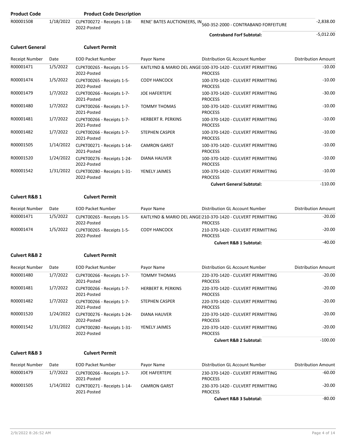| Product Code             |           | <b>Product Code Description</b>                      |                       |                                                                               |                            |
|--------------------------|-----------|------------------------------------------------------|-----------------------|-------------------------------------------------------------------------------|----------------------------|
| R00001508                | 1/18/2022 | CLPKT00272 - Receipts 1-18-<br>2022-Posted           |                       | RENE' BATES AUCTIONEERS, IN 560-352-2000 - CONTRABAND FORFEITURE              | $-2,838.00$                |
|                          |           |                                                      |                       | <b>Contraband Forf Subtotal:</b>                                              | $-5,012.00$                |
| <b>Culvert General</b>   |           | <b>Culvert Permit</b>                                |                       |                                                                               |                            |
| Receipt Number           | Date      | <b>EOD Packet Number</b>                             | Payor Name            | Distribution GL Account Number                                                | <b>Distribution Amount</b> |
| R00001471                | 1/5/2022  | CLPKT00265 - Receipts 1-5-<br>2022-Posted            |                       | KAITLYND & MARIO DEL ANGEI100-370-1420 - CULVERT PERMITTING<br><b>PROCESS</b> | $-10.00$                   |
| R00001474                | 1/5/2022  | CLPKT00265 - Receipts 1-5-<br>2022-Posted            | <b>CODY HANCOCK</b>   | 100-370-1420 - CULVERT PERMITTING<br><b>PROCESS</b>                           | $-10.00$                   |
| R00001479                | 1/7/2022  | CLPKT00266 - Receipts 1-7-<br>2021-Posted            | <b>JOE HAFERTEPE</b>  | 100-370-1420 - CULVERT PERMITTING<br><b>PROCESS</b>                           | $-30.00$                   |
| R00001480                | 1/7/2022  | CLPKT00266 - Receipts 1-7-<br>2021-Posted            | <b>TOMMY THOMAS</b>   | 100-370-1420 - CULVERT PERMITTING<br><b>PROCESS</b>                           | $-10.00$                   |
| R00001481                | 1/7/2022  | CLPKT00266 - Receipts 1-7-<br>2021-Posted            | HERBERT R. PERKINS    | 100-370-1420 - CULVERT PERMITTING<br><b>PROCESS</b>                           | $-10.00$                   |
| R00001482                | 1/7/2022  | CLPKT00266 - Receipts 1-7-<br>2021-Posted            | STEPHEN CASPER        | 100-370-1420 - CULVERT PERMITTING<br><b>PROCESS</b>                           | $-10.00$                   |
| R00001505                |           | 1/14/2022 CLPKT00271 - Receipts 1-14-<br>2021-Posted | <b>CAMRON GARST</b>   | 100-370-1420 - CULVERT PERMITTING<br><b>PROCESS</b>                           | $-10.00$                   |
| R00001520                |           | 1/24/2022 CLPKT00276 - Receipts 1-24-<br>2022-Posted | DIANA HAUVER          | 100-370-1420 - CULVERT PERMITTING<br><b>PROCESS</b>                           | $-10.00$                   |
| R00001542                | 1/31/2022 | CLPKT00280 - Receipts 1-31-<br>2022-Posted           | YENELY JAIMES         | 100-370-1420 - CULVERT PERMITTING<br><b>PROCESS</b>                           | $-10.00$                   |
|                          |           |                                                      |                       | <b>Culvert General Subtotal:</b>                                              | $-110.00$                  |
| <b>Culvert R&amp;B 1</b> |           | <b>Culvert Permit</b>                                |                       |                                                                               |                            |
| <b>Receipt Number</b>    | Date      | <b>EOD Packet Number</b>                             | Payor Name            |                                                                               |                            |
|                          |           |                                                      |                       | Distribution GL Account Number                                                | <b>Distribution Amount</b> |
| R00001471                | 1/5/2022  | CLPKT00265 - Receipts 1-5-<br>2022-Posted            |                       | KAITLYND & MARIO DEL ANGEI210-370-1420 - CULVERT PERMITTING<br><b>PROCESS</b> | $-20.00$                   |
| R00001474                | 1/5/2022  | CLPKT00265 - Receipts 1-5-<br>2022-Posted            | <b>CODY HANCOCK</b>   | 210-370-1420 - CULVERT PERMITTING<br><b>PROCESS</b>                           | $-20.00$                   |
|                          |           |                                                      |                       | <b>Culvert R&amp;B 1 Subtotal:</b>                                            | $-40.00$                   |
| <b>Culvert R&amp;B 2</b> |           | <b>Culvert Permit</b>                                |                       |                                                                               |                            |
| <b>Receipt Number</b>    | Date      | <b>EOD Packet Number</b>                             | Payor Name            | Distribution GL Account Number                                                | <b>Distribution Amount</b> |
| R00001480                | 1/7/2022  | CLPKT00266 - Receipts 1-7-<br>2021-Posted            | <b>TOMMY THOMAS</b>   | 220-370-1420 - CULVERT PERMITTING<br><b>PROCESS</b>                           | -20.00                     |
| R00001481                | 1/7/2022  | CLPKT00266 - Receipts 1-7-<br>2021-Posted            | HERBERT R. PERKINS    | 220-370-1420 - CULVERT PERMITTING<br><b>PROCESS</b>                           | $-20.00$                   |
| R00001482                | 1/7/2022  | CLPKT00266 - Receipts 1-7-<br>2021-Posted            | <b>STEPHEN CASPER</b> | 220-370-1420 - CULVERT PERMITTING<br><b>PROCESS</b>                           | $-20.00$                   |
| R00001520                | 1/24/2022 | CLPKT00276 - Receipts 1-24-<br>2022-Posted           | DIANA HAUVER          | 220-370-1420 - CULVERT PERMITTING<br><b>PROCESS</b>                           | $-20.00$                   |
| R00001542                | 1/31/2022 | CLPKT00280 - Receipts 1-31-<br>2022-Posted           | YENELY JAIMES         | 220-370-1420 - CULVERT PERMITTING<br><b>PROCESS</b>                           | $-20.00$                   |
|                          |           |                                                      |                       | <b>Culvert R&amp;B 2 Subtotal:</b>                                            | $-100.00$                  |
| <b>Culvert R&amp;B 3</b> |           | <b>Culvert Permit</b>                                |                       |                                                                               |                            |
| Receipt Number           | Date      | <b>EOD Packet Number</b>                             | Payor Name            | Distribution GL Account Number                                                | <b>Distribution Amount</b> |
| R00001479                | 1/7/2022  | CLPKT00266 - Receipts 1-7-<br>2021-Posted            | JOE HAFERTEPE         | 230-370-1420 - CULVERT PERMITTING<br><b>PROCESS</b>                           | -60.00                     |

**Culvert R&B 3 Subtotal:** -80.00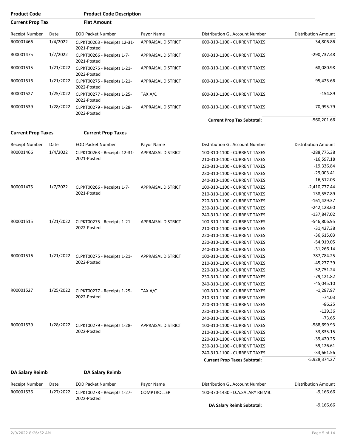| <b>Product Code</b>       |           | <b>Product Code Description</b>             |                           |                                     |                            |
|---------------------------|-----------|---------------------------------------------|---------------------------|-------------------------------------|----------------------------|
| <b>Current Prop Tax</b>   |           | <b>Flat Amount</b>                          |                           |                                     |                            |
| <b>Receipt Number</b>     | Date      | <b>EOD Packet Number</b>                    | Payor Name                | Distribution GL Account Number      | <b>Distribution Amount</b> |
| R00001466                 | 1/4/2022  | CLPKT00263 - Receipts 12-31-<br>2021-Posted | APPRAISAL DISTRICT        | 600-310-1100 - CURRENT TAXES        | $-34,806.86$               |
| R00001475                 | 1/7/2022  | CLPKT00266 - Receipts 1-7-<br>2021-Posted   | APPRAISAL DISTRICT        | 600-310-1100 - CURRENT TAXES        | -290,737.48                |
| R00001515                 | 1/21/2022 | CLPKT00275 - Receipts 1-21-<br>2022-Posted  | APPRAISAL DISTRICT        | 600-310-1100 - CURRENT TAXES        | $-68,080.98$               |
| R00001516                 | 1/21/2022 | CLPKT00275 - Receipts 1-21-<br>2022-Posted  | APPRAISAL DISTRICT        | 600-310-1100 - CURRENT TAXES        | $-95,425.66$               |
| R00001527                 | 1/25/2022 | CLPKT00277 - Receipts 1-25-<br>2022-Posted  | TAX A/C                   | 600-310-1100 - CURRENT TAXES        | $-154.89$                  |
| R00001539                 | 1/28/2022 | CLPKT00279 - Receipts 1-28-<br>2022-Posted  | <b>APPRAISAL DISTRICT</b> | 600-310-1100 - CURRENT TAXES        | $-70,995.79$               |
|                           |           |                                             |                           | <b>Current Prop Tax Subtotal:</b>   | $-560,201.66$              |
| <b>Current Prop Taxes</b> |           | <b>Current Prop Taxes</b>                   |                           |                                     |                            |
| Receipt Number            | Date      | <b>EOD Packet Number</b>                    | Payor Name                | Distribution GL Account Number      | <b>Distribution Amount</b> |
| R00001466                 | 1/4/2022  | CLPKT00263 - Receipts 12-31-                | <b>APPRAISAL DISTRICT</b> | 100-310-1100 - CURRENT TAXES        | $-288,775.38$              |
|                           |           | 2021-Posted                                 |                           | 210-310-1100 - CURRENT TAXES        | $-16,597.18$               |
|                           |           |                                             |                           | 220-310-1100 - CURRENT TAXES        | $-19,336.84$               |
|                           |           |                                             |                           | 230-310-1100 - CURRENT TAXES        | $-29,003.41$               |
|                           |           |                                             |                           | 240-310-1100 - CURRENT TAXES        | $-16,512.03$               |
| R00001475                 | 1/7/2022  | CLPKT00266 - Receipts 1-7-                  | APPRAISAL DISTRICT        | 100-310-1100 - CURRENT TAXES        | $-2,410,777.44$            |
|                           |           | 2021-Posted                                 |                           |                                     | $-138,557.89$              |
|                           |           |                                             |                           | 210-310-1100 - CURRENT TAXES        |                            |
|                           |           |                                             |                           | 220-310-1100 - CURRENT TAXES        | $-161,429.37$              |
|                           |           |                                             |                           | 230-310-1100 - CURRENT TAXES        | $-242,128.60$              |
|                           |           |                                             |                           | 240-310-1100 - CURRENT TAXES        | $-137,847.02$              |
| R00001515                 | 1/21/2022 | CLPKT00275 - Receipts 1-21-                 | APPRAISAL DISTRICT        | 100-310-1100 - CURRENT TAXES        | -546,806.95                |
|                           |           | 2022-Posted                                 |                           | 210-310-1100 - CURRENT TAXES        | $-31,427.38$               |
|                           |           |                                             |                           | 220-310-1100 - CURRENT TAXES        | $-36,615.03$               |
|                           |           |                                             |                           | 230-310-1100 - CURRENT TAXES        | $-54,919.05$               |
|                           |           |                                             |                           | 240-310-1100 - CURRENT TAXES        | $-31,266.14$               |
| R00001516                 | 1/21/2022 | CLPKT00275 - Receipts 1-21-                 | APPRAISAL DISTRICT        | 100-310-1100 - CURRENT TAXES        | -787,784.25                |
|                           |           | 2022-Posted                                 |                           | 210-310-1100 - CURRENT TAXES        | $-45,277.39$               |
|                           |           |                                             |                           | 220-310-1100 - CURRENT TAXES        | $-52,751.24$               |
|                           |           |                                             |                           | 230-310-1100 - CURRENT TAXES        | $-79,121.82$               |
|                           |           |                                             |                           | 240-310-1100 - CURRENT TAXES        | $-45,045.10$               |
| R00001527                 | 1/25/2022 | CLPKT00277 - Receipts 1-25-                 | TAX A/C                   | 100-310-1100 - CURRENT TAXES        | $-1,287.97$                |
|                           |           | 2022-Posted                                 |                           | 210-310-1100 - CURRENT TAXES        | $-74.03$                   |
|                           |           |                                             |                           | 220-310-1100 - CURRENT TAXES        | $-86.25$                   |
|                           |           |                                             |                           | 230-310-1100 - CURRENT TAXES        | $-129.36$                  |
|                           |           |                                             |                           | 240-310-1100 - CURRENT TAXES        | $-73.65$                   |
| R00001539                 | 1/28/2022 | CLPKT00279 - Receipts 1-28-                 | <b>APPRAISAL DISTRICT</b> | 100-310-1100 - CURRENT TAXES        | -588,699.93                |
|                           |           | 2022-Posted                                 |                           | 210-310-1100 - CURRENT TAXES        | $-33,835.15$               |
|                           |           |                                             |                           | 220-310-1100 - CURRENT TAXES        | $-39,420.25$               |
|                           |           |                                             |                           | 230-310-1100 - CURRENT TAXES        | $-59,126.61$               |
|                           |           |                                             |                           | 240-310-1100 - CURRENT TAXES        | $-33,661.56$               |
|                           |           |                                             |                           | <b>Current Prop Taxes Subtotal:</b> | -5,928,374.27              |
| DA Salary Reimb           |           | <b>DA Salary Reimb</b>                      |                           |                                     |                            |
| Receipt Number            | Date      | <b>EOD Packet Number</b>                    | Payor Name                | Distribution GL Account Number      | <b>Distribution Amount</b> |
| R00001536                 | 1/27/2022 | CLPKT00278 - Receipts 1-27-<br>2022-Posted  | <b>COMPTROLLER</b>        | 100-370-1430 - D.A.SALARY REIMB.    | $-9,166.66$                |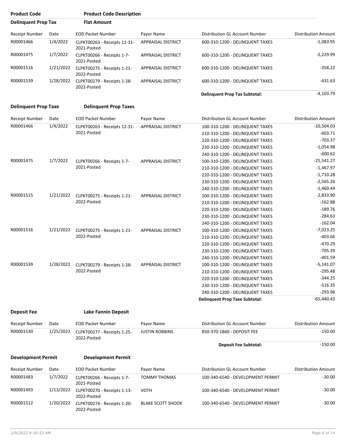| <b>Product Code</b>         |           | <b>Product Code Description</b>             |                           |                                      |                            |
|-----------------------------|-----------|---------------------------------------------|---------------------------|--------------------------------------|----------------------------|
| <b>Delinquent Prop Tax</b>  |           | <b>Flat Amount</b>                          |                           |                                      |                            |
| Receipt Number              | Date      | <b>EOD Packet Number</b>                    | Payor Name                | Distribution GL Account Number       | <b>Distribution Amount</b> |
| R00001466                   | 1/4/2022  | CLPKT00263 - Receipts 12-31-<br>2021-Posted | <b>APPRAISAL DISTRICT</b> | 600-310-1200 - DELINQUENT TAXES      | $-1,083.95$                |
| R00001475                   | 1/7/2022  | CLPKT00266 - Receipts 1-7-<br>2021-Posted   | <b>APPRAISAL DISTRICT</b> | 600-310-1200 - DELINQUENT TAXES      | $-2,229.99$                |
| R00001516                   | 1/21/2022 | CLPKT00275 - Receipts 1-21-<br>2022-Posted  | <b>APPRAISAL DISTRICT</b> | 600-310-1200 - DELINQUENT TAXES      | $-358.22$                  |
| R00001539                   | 1/28/2022 | CLPKT00279 - Receipts 1-28-<br>2022-Posted  | <b>APPRAISAL DISTRICT</b> | 600-310-1200 - DELINQUENT TAXES      | -431.63                    |
|                             |           |                                             |                           | <b>Delinguent Prop Tax Subtotal:</b> | $-4,103.79$                |
| <b>Delinguent Prop Taxe</b> |           | <b>Delinguent Prop Taxes</b>                |                           |                                      |                            |
| Receint Number              | Date      | <b>FOD Packet Number</b>                    | Payor Name                | Distribution GL Account Number       | Distribution Amount        |

| <b>Receipt Number</b> | Date      | <b>EOD Packet Number</b>                   | Payor Name                | Distribution GL Account Number        | <b>Distribution Amount</b> |
|-----------------------|-----------|--------------------------------------------|---------------------------|---------------------------------------|----------------------------|
| R00001466             | 1/4/2022  | CLPKT00263 - Receipts 12-31-               | <b>APPRAISAL DISTRICT</b> | 100-310-1200 - DELINQUENT TAXES       | $-10,504.03$               |
|                       |           | 2021-Posted                                |                           | 210-310-1200 - DELINQUENT TAXES       | $-603.71$                  |
|                       |           |                                            |                           | 220-310-1200 - DELINQUENT TAXES       | $-703.37$                  |
|                       |           |                                            |                           | 230-310-1200 - DELINQUENT TAXES       | $-1,054.98$                |
|                       |           |                                            |                           | 240-310-1200 - DELINQUENT TAXES       | $-600.62$                  |
| R00001475             | 1/7/2022  | CLPKT00266 - Receipts 1-7-                 | <b>APPRAISAL DISTRICT</b> | 100-310-1200 - DELINQUENT TAXES       | $-25,541.27$               |
|                       |           | 2021-Posted                                |                           | 210-310-1200 - DELINQUENT TAXES       | $-1,467.97$                |
|                       |           |                                            |                           | 220-310-1200 - DELINQUENT TAXES       | $-1,710.28$                |
|                       |           |                                            |                           | 230-310-1200 - DELINQUENT TAXES       | $-2,565.26$                |
|                       |           |                                            |                           | 240-310-1200 - DELINQUENT TAXES       | $-1,460.44$                |
| R00001515             | 1/21/2022 | CLPKT00275 - Receipts 1-21-<br>2022-Posted | APPRAISAL DISTRICT        | 100-310-1200 - DELINQUENT TAXES       | $-2,833.90$                |
|                       |           |                                            |                           | 210-310-1200 - DELINQUENT TAXES       | $-162.88$                  |
|                       |           |                                            |                           | 220-310-1200 - DELINQUENT TAXES       | $-189.76$                  |
|                       |           |                                            |                           | 230-310-1200 - DELINQUENT TAXES       | $-284.63$                  |
|                       |           |                                            |                           | 240-310-1200 - DELINQUENT TAXES       | $-162.04$                  |
| R00001516             | 1/21/2022 | CLPKT00275 - Receipts 1-21-<br>2022-Posted | <b>APPRAISAL DISTRICT</b> | 100-310-1200 - DELINQUENT TAXES       | $-7,023.25$                |
|                       |           |                                            |                           | 210-310-1200 - DELINQUENT TAXES       | $-403.66$                  |
|                       |           |                                            |                           | 220-310-1200 - DELINQUENT TAXES       | $-470.29$                  |
|                       |           |                                            |                           | 230-310-1200 - DELINQUENT TAXES       | $-705.39$                  |
|                       |           |                                            |                           | 240-310-1200 - DELINQUENT TAXES       | $-401.59$                  |
| R00001539             | 1/28/2022 | CLPKT00279 - Receipts 1-28-                | APPRAISAL DISTRICT        | 100-310-1200 - DELINQUENT TAXES       | $-5,141.07$                |
|                       |           | 2022-Posted                                |                           | 210-310-1200 - DELINQUENT TAXES       | $-295.48$                  |
|                       |           |                                            |                           | 220-310-1200 - DELINQUENT TAXES       | $-344.25$                  |
|                       |           |                                            |                           | 230-310-1200 - DELINQUENT TAXES       | $-516.35$                  |
|                       |           |                                            |                           | 240-310-1200 - DELINQUENT TAXES       | $-293.96$                  |
|                       |           |                                            |                           | <b>Delinguent Prop Taxe Subtotal:</b> | $-65.440.43$               |

| <b>Deposit Fee</b> | <b>Lake Fannin Deposit</b> |
|--------------------|----------------------------|
|                    |                            |

2022-Posted

| Receipt Number            | Date      | <b>EOD Packet Number</b>                   | Payor Name               | Distribution GL Account Number    | Distribution Amount |
|---------------------------|-----------|--------------------------------------------|--------------------------|-----------------------------------|---------------------|
| R00001530                 | 1/25/2022 | CLPKT00277 - Receipts 1-25-<br>2022-Posted | <b>JUSTIN ROBBINS</b>    | 850-370-1860 - DEPOSIT FEE        | $-150.00$           |
|                           |           |                                            |                          | <b>Deposit Fee Subtotal:</b>      | $-150.00$           |
| <b>Development Permit</b> |           | <b>Development Permit</b>                  |                          |                                   |                     |
| Receipt Number            | Date      | <b>EOD Packet Number</b>                   | Payor Name               | Distribution GL Account Number    | Distribution Amount |
| R00001483                 | 1/7/2022  | CLPKT00266 - Receipts 1-7-<br>2021-Posted  | <b>TOMMY THOMAS</b>      | 100-340-6540 - DEVELOPMENT PERMIT | $-30.00$            |
| R00001493                 | 1/13/2022 | CLPKT00270 - Receipts 1-13-<br>2022-Posted | <b>VOTH</b>              | 100-340-6540 - DEVELOPMENT PERMIT | $-30.00$            |
|                           | 1/20/2022 |                                            | <b>BLAKE SCOTT SHOOK</b> | 100-340-6540 - DEVELOPMENT PERMIT | -30.00              |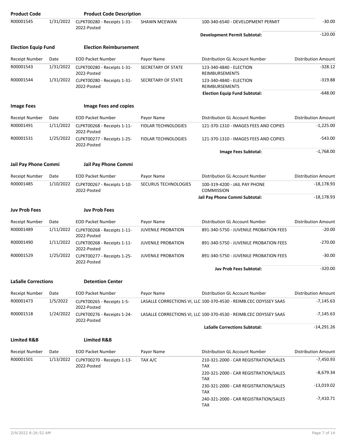| <b>Product Code</b>        |           | <b>Product Code Description</b>            |                            |                                                                   |                            |
|----------------------------|-----------|--------------------------------------------|----------------------------|-------------------------------------------------------------------|----------------------------|
| R00001545                  | 1/31/2022 | CLPKT00280 - Receipts 1-31-<br>2022-Posted | <b>SHAWN MCEWAN</b>        | 100-340-6540 - DEVELOPMENT PERMIT                                 | $-30.00$                   |
|                            |           |                                            |                            | <b>Development Permit Subtotal:</b>                               | $-120.00$                  |
| <b>Election Equip Fund</b> |           | <b>Election Reimbursement</b>              |                            |                                                                   |                            |
| <b>Receipt Number</b>      | Date      | <b>EOD Packet Number</b>                   | Payor Name                 | Distribution GL Account Number                                    | <b>Distribution Amount</b> |
| R00001543                  | 1/31/2022 | CLPKT00280 - Receipts 1-31-<br>2022-Posted | SECRETARY OF STATE         | 123-340-4840 - ELECTION<br>REIMBURSEMENTS                         | $-328.12$                  |
| R00001544                  | 1/31/2022 | CLPKT00280 - Receipts 1-31-<br>2022-Posted | SECRETARY OF STATE         | 123-340-4840 - ELECTION<br><b>REIMBURSEMENTS</b>                  | $-319.88$                  |
|                            |           |                                            |                            | <b>Election Equip Fund Subtotal:</b>                              | $-648.00$                  |
| <b>Image Fees</b>          |           | <b>Image Fees and copies</b>               |                            |                                                                   |                            |
| <b>Receipt Number</b>      | Date      | <b>EOD Packet Number</b>                   | Payor Name                 | Distribution GL Account Number                                    | <b>Distribution Amount</b> |
| R00001491                  | 1/11/2022 | CLPKT00268 - Receipts 1-11-<br>2022-Posted | <b>FIDLAR TECHNOLOGIES</b> | 121-370-1310 - IMAGES FEES AND COPIES                             | $-1,225.00$                |
| R00001531                  | 1/25/2022 | CLPKT00277 - Receipts 1-25-<br>2022-Posted | <b>FIDLAR TECHNOLOGIES</b> | 121-370-1310 - IMAGES FEES AND COPIES                             | $-543.00$                  |
|                            |           |                                            |                            | <b>Image Fees Subtotal:</b>                                       | $-1,768.00$                |
| Jail Pay Phone Commi       |           | Jail Pay Phone Commi                       |                            |                                                                   |                            |
| <b>Receipt Number</b>      | Date      | <b>EOD Packet Number</b>                   | Payor Name                 | Distribution GL Account Number                                    | <b>Distribution Amount</b> |
| R00001485                  | 1/10/2022 | CLPKT00267 - Receipts 1-10-<br>2022-Posted | SECURUS TECHNOLOGIES       | 100-319-4200 - JAIL PAY PHONE<br><b>COMMISSION</b>                | $-18,178.93$               |
|                            |           |                                            |                            | Jail Pay Phone Commi Subtotal:                                    | $-18,178.93$               |
| <b>Juv Prob Fees</b>       |           | <b>Juv Prob Fees</b>                       |                            |                                                                   |                            |
| <b>Receipt Number</b>      | Date      | <b>EOD Packet Number</b>                   | Payor Name                 | Distribution GL Account Number                                    | <b>Distribution Amount</b> |
| R00001489                  | 1/11/2022 | CLPKT00268 - Receipts 1-11-<br>2022-Posted | <b>JUVENILE PROBATION</b>  | 891-340-5750 - JUVENILE PROBATION FEES                            | $-20.00$                   |
| R00001490                  | 1/11/2022 | CLPKT00268 - Receipts 1-11-<br>2022-Posted | <b>JUVENILE PROBATION</b>  | 891-340-5750 - JUVENILE PROBATION FEES                            | $-270.00$                  |
| R00001529                  | 1/25/2022 | CLPKT00277 - Receipts 1-25-<br>2022-Posted | <b>JUVENILE PROBATION</b>  | 891-340-5750 - JUVENILE PROBATION FEES                            | $-30.00$                   |
|                            |           |                                            |                            | <b>Juv Prob Fees Subtotal:</b>                                    | $-320.00$                  |
| <b>LaSalle Corrections</b> |           | <b>Detention Center</b>                    |                            |                                                                   |                            |
| Receipt Number             | Date      | <b>EOD Packet Number</b>                   | Payor Name                 | <b>Distribution GL Account Number</b>                             | <b>Distribution Amount</b> |
| R00001473                  | 1/5/2022  | CLPKT00265 - Receipts 1-5-<br>2022-Posted  |                            | LASALLE CORRECTIONS VI, LLC 100-370-4530 - REIMB.CEC ODYSSEY SAAS | -7,145.63                  |
| R00001518                  | 1/24/2022 | CLPKT00276 - Receipts 1-24-<br>2022-Posted |                            | LASALLE CORRECTIONS VI, LLC 100-370-4530 - REIMB.CEC ODYSSEY SAAS | $-7,145.63$                |
|                            |           |                                            |                            | <b>LaSalle Corrections Subtotal:</b>                              | $-14,291.26$               |
| <b>Limited R&amp;B</b>     |           | <b>Limited R&amp;B</b>                     |                            |                                                                   |                            |
| <b>Receipt Number</b>      | Date      | <b>EOD Packet Number</b>                   | Payor Name                 | Distribution GL Account Number                                    | Distribution Amount        |
| R00001501                  | 1/13/2022 | CLPKT00270 - Receipts 1-13-<br>2022-Posted | TAX A/C                    | 210-321-2000 - CAR REGISTRATION/SALES<br><b>TAX</b>               | $-7,450.93$                |
|                            |           |                                            |                            | 220-321-2000 - CAR REGISTRATION/SALES<br><b>TAX</b>               | $-8,679.34$                |
|                            |           |                                            |                            | 230-321-2000 - CAR REGISTRATION/SALES<br><b>TAX</b>               | -13,019.02                 |
|                            |           |                                            |                            | 240-321-2000 - CAR REGISTRATION/SALES<br>TAX                      | $-7,410.71$                |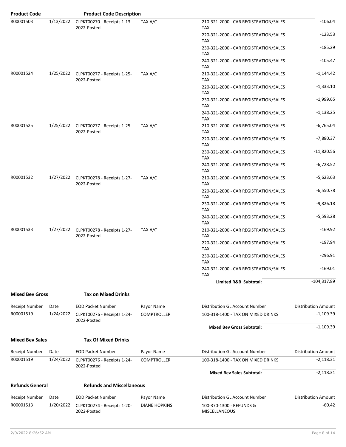| <b>Product Code</b>    |           | <b>Product Code Description</b>                      |                      |                                                     |                            |
|------------------------|-----------|------------------------------------------------------|----------------------|-----------------------------------------------------|----------------------------|
| R00001503              | 1/13/2022 | CLPKT00270 - Receipts 1-13-<br>2022-Posted           | TAX A/C              | 210-321-2000 - CAR REGISTRATION/SALES<br><b>TAX</b> | $-106.04$                  |
|                        |           |                                                      |                      | 220-321-2000 - CAR REGISTRATION/SALES<br><b>TAX</b> | $-123.53$                  |
|                        |           |                                                      |                      | 230-321-2000 - CAR REGISTRATION/SALES<br><b>TAX</b> | $-185.29$                  |
|                        |           |                                                      |                      | 240-321-2000 - CAR REGISTRATION/SALES<br><b>TAX</b> | $-105.47$                  |
| R00001524              |           | 1/25/2022 CLPKT00277 - Receipts 1-25-<br>2022-Posted | TAX A/C              | 210-321-2000 - CAR REGISTRATION/SALES<br><b>TAX</b> | $-1,144.42$                |
|                        |           |                                                      |                      | 220-321-2000 - CAR REGISTRATION/SALES<br><b>TAX</b> | $-1,333.10$                |
|                        |           |                                                      |                      | 230-321-2000 - CAR REGISTRATION/SALES<br><b>TAX</b> | $-1,999.65$                |
|                        |           |                                                      |                      | 240-321-2000 - CAR REGISTRATION/SALES<br><b>TAX</b> | $-1,138.25$                |
| R00001525              |           | 1/25/2022 CLPKT00277 - Receipts 1-25-<br>2022-Posted | TAX A/C              | 210-321-2000 - CAR REGISTRATION/SALES<br><b>TAX</b> | $-6,765.04$                |
|                        |           |                                                      |                      | 220-321-2000 - CAR REGISTRATION/SALES<br><b>TAX</b> | $-7,880.37$                |
|                        |           |                                                      |                      | 230-321-2000 - CAR REGISTRATION/SALES<br><b>TAX</b> | $-11,820.56$               |
|                        |           |                                                      |                      | 240-321-2000 - CAR REGISTRATION/SALES<br>TAX        | $-6,728.52$                |
| R00001532              |           | 1/27/2022 CLPKT00278 - Receipts 1-27-<br>2022-Posted | TAX A/C              | 210-321-2000 - CAR REGISTRATION/SALES<br><b>TAX</b> | $-5,623.63$                |
|                        |           |                                                      |                      | 220-321-2000 - CAR REGISTRATION/SALES<br><b>TAX</b> | $-6,550.78$                |
|                        |           |                                                      |                      | 230-321-2000 - CAR REGISTRATION/SALES<br><b>TAX</b> | $-9,826.18$                |
|                        |           |                                                      |                      | 240-321-2000 - CAR REGISTRATION/SALES<br><b>TAX</b> | $-5,593.28$                |
| R00001533              |           | 1/27/2022 CLPKT00278 - Receipts 1-27-<br>2022-Posted | TAX A/C              | 210-321-2000 - CAR REGISTRATION/SALES<br><b>TAX</b> | $-169.92$                  |
|                        |           |                                                      |                      | 220-321-2000 - CAR REGISTRATION/SALES<br><b>TAX</b> | $-197.94$                  |
|                        |           |                                                      |                      | 230-321-2000 - CAR REGISTRATION/SALES<br><b>TAX</b> | -296.91                    |
|                        |           |                                                      |                      | 240-321-2000 - CAR REGISTRATION/SALES<br><b>TAX</b> | $-169.01$                  |
|                        |           |                                                      |                      | Limited R&B Subtotal:                               | $-104,317.89$              |
| <b>Mixed Bev Gross</b> |           | <b>Tax on Mixed Drinks</b>                           |                      |                                                     |                            |
| <b>Receipt Number</b>  | Date      | <b>EOD Packet Number</b>                             | Payor Name           | Distribution GL Account Number                      | <b>Distribution Amount</b> |
| R00001519              | 1/24/2022 | CLPKT00276 - Receipts 1-24-<br>2022-Posted           | <b>COMPTROLLER</b>   | 100-318-1400 - TAX ON MIXED DRINKS                  | $-1,109.39$                |
|                        |           |                                                      |                      | <b>Mixed Bev Gross Subtotal:</b>                    | $-1,109.39$                |
| <b>Mixed Bev Sales</b> |           | <b>Tax Of Mixed Drinks</b>                           |                      |                                                     |                            |
| <b>Receipt Number</b>  | Date      | <b>EOD Packet Number</b>                             | Payor Name           | Distribution GL Account Number                      | Distribution Amount        |
| R00001519              | 1/24/2022 | CLPKT00276 - Receipts 1-24-<br>2022-Posted           | <b>COMPTROLLER</b>   | 100-318-1400 - TAX ON MIXED DRINKS                  | -2,118.31                  |
|                        |           |                                                      |                      | <b>Mixed Bev Sales Subtotal:</b>                    | $-2,118.31$                |
| <b>Refunds General</b> |           | <b>Refunds and Miscellaneous</b>                     |                      |                                                     |                            |
| Receipt Number         | Date      | <b>EOD Packet Number</b>                             | Payor Name           | Distribution GL Account Number                      | <b>Distribution Amount</b> |
| R00001513              | 1/20/2022 | CLPKT00274 - Receipts 1-20-<br>2022-Posted           | <b>DIANE HOPKINS</b> | 100-370-1300 - REFUNDS &<br><b>MISCELLANEOUS</b>    | $-60.42$                   |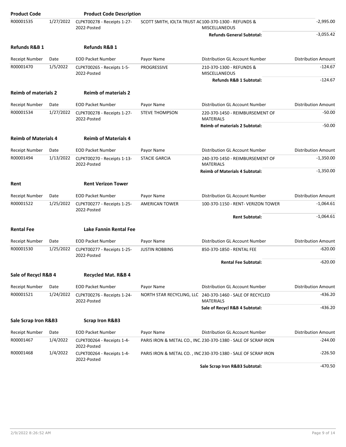| <b>Product Code</b>         |           | <b>Product Code Description</b>            |                                                     |                                                                               |                            |
|-----------------------------|-----------|--------------------------------------------|-----------------------------------------------------|-------------------------------------------------------------------------------|----------------------------|
| R00001535                   | 1/27/2022 | CLPKT00278 - Receipts 1-27-<br>2022-Posted | SCOTT SMITH, IOLTA TRUST AC100-370-1300 - REFUNDS & | <b>MISCELLANEOUS</b>                                                          | $-2,995.00$                |
|                             |           |                                            |                                                     | <b>Refunds General Subtotal:</b>                                              | $-3,055.42$                |
| <b>Refunds R&amp;B 1</b>    |           | <b>Refunds R&amp;B 1</b>                   |                                                     |                                                                               |                            |
| Receipt Number              | Date      | <b>EOD Packet Number</b>                   | Payor Name                                          | Distribution GL Account Number                                                | <b>Distribution Amount</b> |
| R00001470                   | 1/5/2022  | CLPKT00265 - Receipts 1-5-<br>2022-Posted  | PROGRESSIVE                                         | 210-370-1300 - REFUNDS &<br><b>MISCELLANEOUS</b>                              | $-124.67$                  |
|                             |           |                                            |                                                     | Refunds R&B 1 Subtotal:                                                       | $-124.67$                  |
| <b>Reimb of materials 2</b> |           | <b>Reimb of materials 2</b>                |                                                     |                                                                               |                            |
| <b>Receipt Number</b>       | Date      | <b>EOD Packet Number</b>                   | Payor Name                                          | Distribution GL Account Number                                                | <b>Distribution Amount</b> |
| R00001534                   | 1/27/2022 | CLPKT00278 - Receipts 1-27-<br>2022-Posted | <b>STEVE THOMPSON</b>                               | 220-370-1450 - REIMBURSEMENT OF<br><b>MATERIALS</b>                           | $-50.00$                   |
|                             |           |                                            |                                                     | <b>Reimb of materials 2 Subtotal:</b>                                         | $-50.00$                   |
| <b>Reimb of Materials 4</b> |           | <b>Reimb of Materials 4</b>                |                                                     |                                                                               |                            |
| <b>Receipt Number</b>       | Date      | <b>EOD Packet Number</b>                   | Payor Name                                          | Distribution GL Account Number                                                | <b>Distribution Amount</b> |
| R00001494                   | 1/13/2022 | CLPKT00270 - Receipts 1-13-<br>2022-Posted | <b>STACIE GARCIA</b>                                | 240-370-1450 - REIMBURSEMENT OF<br><b>MATERIALS</b>                           | $-1,350.00$                |
|                             |           |                                            |                                                     | <b>Reimb of Materials 4 Subtotal:</b>                                         | $-1,350.00$                |
| Rent                        |           | <b>Rent Verizon Tower</b>                  |                                                     |                                                                               |                            |
|                             |           |                                            |                                                     |                                                                               |                            |
| <b>Receipt Number</b>       | Date      | <b>EOD Packet Number</b>                   | Payor Name                                          | Distribution GL Account Number                                                | <b>Distribution Amount</b> |
| R00001522                   | 1/25/2022 | CLPKT00277 - Receipts 1-25-<br>2022-Posted | <b>AMERICAN TOWER</b>                               | 100-370-1150 - RENT- VERIZON TOWER                                            | $-1,064.61$                |
|                             |           |                                            |                                                     | <b>Rent Subtotal:</b>                                                         | $-1,064.61$                |
| <b>Rental Fee</b>           |           | Lake Fannin Rental Fee                     |                                                     |                                                                               |                            |
| <b>Receipt Number</b>       | Date      | <b>EOD Packet Number</b>                   | Payor Name                                          | Distribution GL Account Number                                                | <b>Distribution Amount</b> |
| R00001530                   | 1/25/2022 | CLPKT00277 - Receipts 1-25-<br>2022-Posted | <b>JUSTIN ROBBINS</b>                               | 850-370-1850 - RENTAL FEE                                                     | $-620.00$                  |
|                             |           |                                            |                                                     | <b>Rental Fee Subtotal:</b>                                                   | $-620.00$                  |
| Sale of Recycl R&B 4        |           | Recycled Mat. R&B 4                        |                                                     |                                                                               |                            |
| Receipt Number              | Date      | <b>EOD Packet Number</b>                   | Payor Name                                          | Distribution GL Account Number                                                | <b>Distribution Amount</b> |
| R00001521                   | 1/24/2022 | CLPKT00276 - Receipts 1-24-<br>2022-Posted |                                                     | NORTH STAR RECYCLING, LLC 240-370-1460 - SALE OF RECYCLED<br><b>MATERIALS</b> | $-436.20$                  |
|                             |           |                                            |                                                     | Sale of Recycl R&B 4 Subtotal:                                                | $-436.20$                  |
| Sale Scrap Iron R&B3        |           | <b>Scrap Iron R&amp;B3</b>                 |                                                     |                                                                               |                            |
|                             |           |                                            |                                                     |                                                                               |                            |
| Receipt Number              | Date      | <b>EOD Packet Number</b>                   | Payor Name                                          | Distribution GL Account Number                                                | <b>Distribution Amount</b> |
| R00001467                   | 1/4/2022  | CLPKT00264 - Receipts 1-4-<br>2022-Posted  |                                                     | PARIS IRON & METAL CO., INC. 230-370-1380 - SALE OF SCRAP IRON                | -244.00                    |
| R00001468                   | 1/4/2022  | CLPKT00264 - Receipts 1-4-<br>2022-Posted  |                                                     | PARIS IRON & METAL CO., INC 230-370-1380 - SALE OF SCRAP IRON                 | $-226.50$                  |
|                             |           |                                            |                                                     | Sale Scrap Iron R&B3 Subtotal:                                                | $-470.50$                  |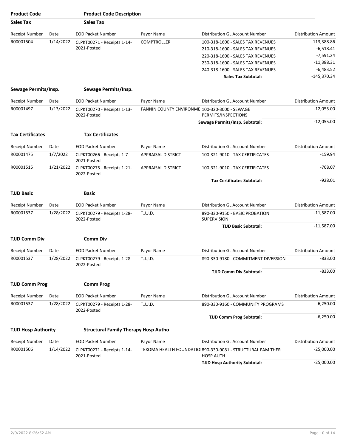| <b>Product Code</b>        |           | <b>Product Code Description</b>             |                                               |                                                                                |                            |
|----------------------------|-----------|---------------------------------------------|-----------------------------------------------|--------------------------------------------------------------------------------|----------------------------|
| Sales Tax                  |           | <b>Sales Tax</b>                            |                                               |                                                                                |                            |
| <b>Receipt Number</b>      | Date      | <b>EOD Packet Number</b>                    | Payor Name                                    | Distribution GL Account Number                                                 | <b>Distribution Amount</b> |
| R00001504                  | 1/14/2022 | CLPKT00271 - Receipts 1-14-                 | <b>COMPTROLLER</b>                            | 100-318-1600 - SALES TAX REVENUES                                              | -113,388.86                |
|                            |           | 2021-Posted                                 |                                               | 210-318-1600 - SALES TAX REVENUES                                              | $-6,518.41$                |
|                            |           |                                             |                                               | 220-318-1600 - SALES TAX REVENUES                                              | $-7,591.24$                |
|                            |           |                                             |                                               | 230-318-1600 - SALES TAX REVENUES                                              | $-11,388.31$               |
|                            |           |                                             |                                               | 240-318-1600 - SALES TAX REVENUES                                              | $-6,483.52$                |
|                            |           |                                             |                                               | <b>Sales Tax Subtotal:</b>                                                     | $-145,370.34$              |
| Sewage Permits/Insp.       |           | Sewage Permits/Insp.                        |                                               |                                                                                |                            |
| <b>Receipt Number</b>      | Date      | <b>EOD Packet Number</b>                    | Payor Name                                    | Distribution GL Account Number                                                 | <b>Distribution Amount</b> |
| R00001497                  | 1/13/2022 | CLPKT00270 - Receipts 1-13-<br>2022-Posted  | FANNIN COUNTY ENVIRONMEI100-320-3000 - SEWAGE | PERMITS/INSPECTIONS                                                            | $-12,055.00$               |
|                            |           |                                             |                                               | Sewage Permits/Insp. Subtotal:                                                 | $-12,055.00$               |
|                            |           |                                             |                                               |                                                                                |                            |
| <b>Tax Certificates</b>    |           | <b>Tax Certificates</b>                     |                                               |                                                                                |                            |
| <b>Receipt Number</b>      | Date      | <b>EOD Packet Number</b>                    | Payor Name                                    | Distribution GL Account Number                                                 | <b>Distribution Amount</b> |
| R00001475                  | 1/7/2022  | CLPKT00266 - Receipts 1-7-<br>2021-Posted   | <b>APPRAISAL DISTRICT</b>                     | 100-321-9010 - TAX CERTIFICATES                                                | $-159.94$                  |
| R00001515                  | 1/21/2022 | CLPKT00275 - Receipts 1-21-<br>2022-Posted  | APPRAISAL DISTRICT                            | 100-321-9010 - TAX CERTIFICATES                                                | $-768.07$                  |
|                            |           |                                             |                                               | <b>Tax Certificates Subtotal:</b>                                              | $-928.01$                  |
| <b>TJJD Basic</b>          |           | Basic                                       |                                               |                                                                                |                            |
|                            |           |                                             |                                               |                                                                                |                            |
| <b>Receipt Number</b>      | Date      | <b>EOD Packet Number</b>                    | Payor Name                                    | Distribution GL Account Number                                                 | <b>Distribution Amount</b> |
| R00001537                  | 1/28/2022 | CLPKT00279 - Receipts 1-28-<br>2022-Posted  | T.J.J.D.                                      | 890-330-9150 - BASIC PROBATION<br>SUPERVISION                                  | $-11,587.00$               |
|                            |           |                                             |                                               | <b>TJJD Basic Subtotal:</b>                                                    | $-11,587.00$               |
| <b>TJJD Comm Div</b>       |           | <b>Comm Div</b>                             |                                               |                                                                                |                            |
| Receipt Number             | Date      | <b>EOD Packet Number</b>                    | Payor Name                                    | <b>Distribution GL Account Number</b>                                          | <b>Distribution Amount</b> |
| R00001537                  | 1/28/2022 | CLPKT00279 - Receipts 1-28-                 | T.J.J.D.                                      | 890-330-9180 - COMMITMENT DIVERSION                                            | $-833.00$                  |
|                            |           | 2022-Posted                                 |                                               | <b>TJJD Comm Div Subtotal:</b>                                                 | $-833.00$                  |
| <b>TJJD Comm Prog</b>      |           | <b>Comm Prog</b>                            |                                               |                                                                                |                            |
|                            |           |                                             |                                               |                                                                                |                            |
| Receipt Number             | Date      | <b>EOD Packet Number</b>                    | Payor Name                                    | Distribution GL Account Number                                                 | <b>Distribution Amount</b> |
| R00001537                  | 1/28/2022 | CLPKT00279 - Receipts 1-28-<br>2022-Posted  | T.J.J.D.                                      | 890-330-9160 - COMMUNITY PROGRAMS                                              | $-6,250.00$                |
|                            |           |                                             |                                               | <b>TJJD Comm Prog Subtotal:</b>                                                | $-6,250.00$                |
| <b>TJJD Hosp Authority</b> |           | <b>Structural Family Therapy Hosp Autho</b> |                                               |                                                                                |                            |
| <b>Receipt Number</b>      | Date      | <b>EOD Packet Number</b>                    | Payor Name                                    | Distribution GL Account Number                                                 | <b>Distribution Amount</b> |
| R00001506                  | 1/14/2022 | CLPKT00271 - Receipts 1-14-<br>2021-Posted  |                                               | TEXOMA HEALTH FOUNDATIOI890-330-9081 - STRUCTURAL FAM THER<br><b>HOSP AUTH</b> | $-25,000.00$               |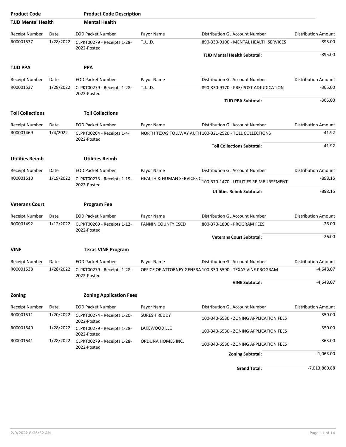| <b>Product Code</b>       |           | <b>Product Code Description</b>            |                                                          |                                                             |                            |
|---------------------------|-----------|--------------------------------------------|----------------------------------------------------------|-------------------------------------------------------------|----------------------------|
| <b>TJJD Mental Health</b> |           | <b>Mental Health</b>                       |                                                          |                                                             |                            |
| <b>Receipt Number</b>     | Date      | <b>EOD Packet Number</b>                   | Payor Name                                               | Distribution GL Account Number                              | <b>Distribution Amount</b> |
| R00001537                 | 1/28/2022 | CLPKT00279 - Receipts 1-28-<br>2022-Posted | T.J.J.D.                                                 | 890-330-9190 - MENTAL HEALTH SERVICES                       | $-895.00$                  |
|                           |           |                                            |                                                          | <b>TJJD Mental Health Subtotal:</b>                         | -895.00                    |
| <b>TJJD PPA</b>           |           | <b>PPA</b>                                 |                                                          |                                                             |                            |
| <b>Receipt Number</b>     | Date      | <b>EOD Packet Number</b>                   | Payor Name                                               | <b>Distribution GL Account Number</b>                       | <b>Distribution Amount</b> |
| R00001537                 | 1/28/2022 | CLPKT00279 - Receipts 1-28-<br>2022-Posted | T.J.J.D.                                                 | 890-330-9170 - PRE/POST ADJUDICATION                        | $-365.00$                  |
|                           |           |                                            |                                                          | <b>TJJD PPA Subtotal:</b>                                   | $-365.00$                  |
| <b>Toll Collections</b>   |           | <b>Toll Collections</b>                    |                                                          |                                                             |                            |
| <b>Receipt Number</b>     | Date      | <b>EOD Packet Number</b>                   | Payor Name                                               | Distribution GL Account Number                              | <b>Distribution Amount</b> |
| R00001469                 | 1/4/2022  | CLPKT00264 - Receipts 1-4-<br>2022-Posted  | NORTH TEXAS TOLLWAY AUTH 100-321-2520 - TOLL COLLECTIONS |                                                             | -41.92                     |
|                           |           |                                            |                                                          | <b>Toll Collections Subtotal:</b>                           | $-41.92$                   |
| <b>Utilities Reimb</b>    |           | <b>Utilities Reimb</b>                     |                                                          |                                                             |                            |
| <b>Receipt Number</b>     | Date      | <b>EOD Packet Number</b>                   | Payor Name                                               | Distribution GL Account Number                              | <b>Distribution Amount</b> |
| R00001510<br>1/19/2022    |           | CLPKT00273 - Receipts 1-19-<br>2022-Posted | HEALTH & HUMAN SERVICES C                                | 100-370-1470 - UTILITIES REIMBURSEMENT                      | $-898.15$                  |
|                           |           |                                            |                                                          | <b>Utilities Reimb Subtotal:</b>                            | $-898.15$                  |
| <b>Veterans Court</b>     |           | <b>Program Fee</b>                         |                                                          |                                                             |                            |
| Receipt Number            | Date      | <b>EOD Packet Number</b>                   | Payor Name                                               | Distribution GL Account Number                              | <b>Distribution Amount</b> |
| R00001492                 | 1/12/2022 | CLPKT00269 - Receipts 1-12-<br>2022-Posted | <b>FANNIN COUNTY CSCD</b>                                | 800-370-1800 - PROGRAM FEES                                 | $-26.00$                   |
|                           |           |                                            |                                                          | <b>Veterans Court Subtotal:</b>                             | $-26.00$                   |
| <b>VINE</b>               |           | <b>Texas VINE Program</b>                  |                                                          |                                                             |                            |
| Receipt Number            | Date      | <b>EOD Packet Number</b>                   | Payor Name                                               | Distribution GL Account Number                              | <b>Distribution Amount</b> |
| R00001538                 | 1/28/2022 | CLPKT00279 - Receipts 1-28-<br>2022-Posted |                                                          | OFFICE OF ATTORNEY GENERA 100-330-5590 - TEXAS VINE PROGRAM | $-4,648.07$                |
|                           |           |                                            |                                                          | <b>VINE Subtotal:</b>                                       | $-4,648.07$                |
| <b>Zoning</b>             |           | <b>Zoning Application Fees</b>             |                                                          |                                                             |                            |
| <b>Receipt Number</b>     | Date      | <b>EOD Packet Number</b>                   | Payor Name                                               | Distribution GL Account Number                              | <b>Distribution Amount</b> |
| R00001511                 | 1/20/2022 | CLPKT00274 - Receipts 1-20-<br>2022-Posted | SURESH REDDY                                             | 100-340-6530 - ZONING APPLICATION FEES                      | $-350.00$                  |
| R00001540                 | 1/28/2022 | CLPKT00279 - Receipts 1-28-<br>2022-Posted | LAKEWOOD LLC                                             | 100-340-6530 - ZONING APPLICATION FEES                      | $-350.00$                  |
| R00001541                 | 1/28/2022 | CLPKT00279 - Receipts 1-28-<br>2022-Posted | ORDUNA HOMES INC.                                        | 100-340-6530 - ZONING APPLICATION FEES                      | $-363.00$                  |
|                           |           |                                            |                                                          | <b>Zoning Subtotal:</b>                                     | $-1,063.00$                |
|                           |           |                                            |                                                          | <b>Grand Total:</b>                                         | $-7,013,860.88$            |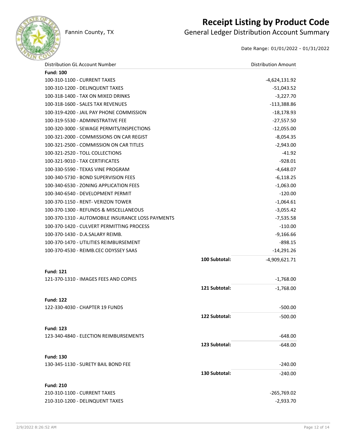

### **Receipt Listing by Product Code**

Fannin County, TX **General Ledger Distribution Account Summary** 

Date Range: 01/01/2022 - 01/31/2022

| Distribution GL Account Number                    |               | <b>Distribution Amount</b> |
|---------------------------------------------------|---------------|----------------------------|
| <b>Fund: 100</b>                                  |               |                            |
| 100-310-1100 - CURRENT TAXES                      |               | -4,624,131.92              |
| 100-310-1200 - DELINQUENT TAXES                   |               | $-51,043.52$               |
| 100-318-1400 - TAX ON MIXED DRINKS                |               | $-3,227.70$                |
| 100-318-1600 - SALES TAX REVENUES                 |               | $-113,388.86$              |
| 100-319-4200 - JAIL PAY PHONE COMMISSION          |               | $-18,178.93$               |
| 100-319-5530 - ADMINISTRATIVE FEE                 |               | $-27,557.50$               |
| 100-320-3000 - SEWAGE PERMITS/INSPECTIONS         |               | $-12,055.00$               |
| 100-321-2000 - COMMISSIONS ON CAR REGIST          |               | $-8,054.35$                |
| 100-321-2500 - COMMISSION ON CAR TITLES           |               | $-2,943.00$                |
| 100-321-2520 - TOLL COLLECTIONS                   |               | $-41.92$                   |
| 100-321-9010 - TAX CERTIFICATES                   |               | $-928.01$                  |
| 100-330-5590 - TEXAS VINE PROGRAM                 |               | $-4,648.07$                |
| 100-340-5730 - BOND SUPERVISION FEES              |               | $-6,118.25$                |
| 100-340-6530 - ZONING APPLICATION FEES            |               | $-1,063.00$                |
| 100-340-6540 - DEVELOPMENT PERMIT                 |               | $-120.00$                  |
| 100-370-1150 - RENT- VERIZON TOWER                |               | $-1,064.61$                |
| 100-370-1300 - REFUNDS & MISCELLANEOUS            |               | $-3,055.42$                |
| 100-370-1310 - AUTOMOBILE INSURANCE LOSS PAYMENTS |               | $-7,535.58$                |
| 100-370-1420 - CULVERT PERMITTING PROCESS         |               | $-110.00$                  |
| 100-370-1430 - D.A.SALARY REIMB.                  |               | $-9,166.66$                |
| 100-370-1470 - UTILITIES REIMBURSEMENT            |               | $-898.15$                  |
| 100-370-4530 - REIMB.CEC ODYSSEY SAAS             |               | $-14,291.26$               |
|                                                   | 100 Subtotal: | -4,909,621.71              |
|                                                   |               |                            |
| <b>Fund: 121</b>                                  |               |                            |
| 121-370-1310 - IMAGES FEES AND COPIES             |               | $-1,768.00$                |
|                                                   | 121 Subtotal: | $-1,768.00$                |
| <b>Fund: 122</b>                                  |               |                            |
| 122-330-4030 - CHAPTER 19 FUNDS                   |               | $-500.00$                  |
|                                                   | 122 Subtotal: | $-500.00$                  |
|                                                   |               |                            |
| <b>Fund: 123</b>                                  |               |                            |
| 123-340-4840 - ELECTION REIMBURSEMENTS            |               | $-648.00$                  |
|                                                   | 123 Subtotal: | $-648.00$                  |
| <b>Fund: 130</b>                                  |               |                            |
| 130-345-1130 - SURETY BAIL BOND FEE               |               | $-240.00$                  |
|                                                   | 130 Subtotal: | $-240.00$                  |
|                                                   |               |                            |
| <b>Fund: 210</b>                                  |               |                            |
| 210-310-1100 - CURRENT TAXES                      |               | $-265,769.02$              |
| 210-310-1200 - DELINQUENT TAXES                   |               | $-2,933.70$                |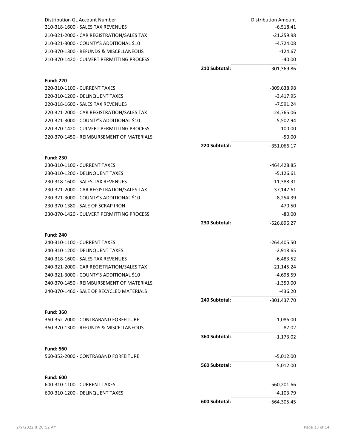| Distribution GL Account Number                   |               | <b>Distribution Amount</b> |
|--------------------------------------------------|---------------|----------------------------|
| 210-318-1600 - SALES TAX REVENUES                |               | $-6,518.41$                |
| 210-321-2000 - CAR REGISTRATION/SALES TAX        |               | $-21,259.98$               |
| 210-321-3000 - COUNTY'S ADDITIONAL \$10          |               | $-4,724.08$                |
| 210-370-1300 - REFUNDS & MISCELLANEOUS           |               | $-124.67$                  |
| 210-370-1420 - CULVERT PERMITTING PROCESS        |               | $-40.00$                   |
|                                                  | 210 Subtotal: | $-301,369.86$              |
|                                                  |               |                            |
| <b>Fund: 220</b><br>220-310-1100 - CURRENT TAXES |               |                            |
|                                                  |               | -309,638.98                |
| 220-310-1200 - DELINQUENT TAXES                  |               | $-3,417.95$                |
| 220-318-1600 - SALES TAX REVENUES                |               | $-7,591.24$                |
| 220-321-2000 - CAR REGISTRATION/SALES TAX        |               | $-24,765.06$               |
| 220-321-3000 - COUNTY'S ADDITIONAL \$10          |               | -5,502.94                  |
| 220-370-1420 - CULVERT PERMITTING PROCESS        |               | $-100.00$                  |
| 220-370-1450 - REIMBURSEMENT OF MATERIALS        |               | $-50.00$                   |
|                                                  | 220 Subtotal: | $-351,066.17$              |
| <b>Fund: 230</b>                                 |               |                            |
| 230-310-1100 - CURRENT TAXES                     |               | -464,428.85                |
| 230-310-1200 - DELINQUENT TAXES                  |               | $-5,126.61$                |
| 230-318-1600 - SALES TAX REVENUES                |               | $-11,388.31$               |
| 230-321-2000 - CAR REGISTRATION/SALES TAX        |               | -37,147.61                 |
| 230-321-3000 - COUNTY'S ADDITIONAL \$10          |               | -8,254.39                  |
| 230-370-1380 - SALE OF SCRAP IRON                |               | $-470.50$                  |
| 230-370-1420 - CULVERT PERMITTING PROCESS        |               | $-80.00$                   |
|                                                  | 230 Subtotal: | -526,896.27                |
| <b>Fund: 240</b>                                 |               |                            |
| 240-310-1100 - CURRENT TAXES                     |               | $-264,405.50$              |
| 240-310-1200 - DELINQUENT TAXES                  |               | $-2,918.65$                |
| 240-318-1600 - SALES TAX REVENUES                |               | $-6,483.52$                |
| 240-321-2000 - CAR REGISTRATION/SALES TAX        |               | $-21,145.24$               |
| 240-321-3000 - COUNTY'S ADDITIONAL \$10          |               |                            |
| 240-370-1450 - REIMBURSEMENT OF MATERIALS        |               | $-4,698.59$<br>$-1,350.00$ |
| 240-370-1460 - SALE OF RECYCLED MATERIALS        |               | $-436.20$                  |
|                                                  |               |                            |
|                                                  | 240 Subtotal: | $-301,437.70$              |
| <b>Fund: 360</b>                                 |               |                            |
| 360-352-2000 - CONTRABAND FORFEITURE             |               | $-1,086.00$                |
| 360-370-1300 - REFUNDS & MISCELLANEOUS           |               | $-87.02$                   |
|                                                  | 360 Subtotal: | $-1,173.02$                |
| <b>Fund: 560</b>                                 |               |                            |
| 560-352-2000 - CONTRABAND FORFEITURE             |               | $-5,012.00$                |
|                                                  | 560 Subtotal: | $-5,012.00$                |
|                                                  |               |                            |
| <b>Fund: 600</b>                                 |               |                            |
| 600-310-1100 - CURRENT TAXES                     |               | $-560,201.66$              |
| 600-310-1200 - DELINQUENT TAXES                  |               | $-4,103.79$                |
|                                                  | 600 Subtotal: | $-564,305.45$              |